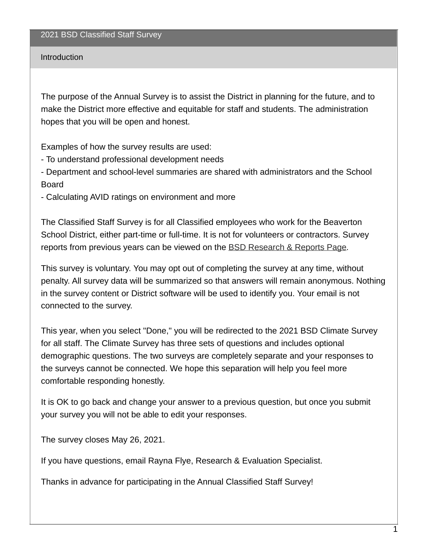## Introduction

The purpose of the Annual Survey is to assist the District in planning for the future, and to make the District more effective and equitable for staff and students. The administration hopes that you will be open and honest.

Examples of how the survey results are used:

- To understand professional development needs

- Department and school-level summaries are shared with administrators and the School Board

- Calculating AVID ratings on environment and more

The Classified Staff Survey is for all Classified employees who work for the Beaverton School District, either part-time or full-time. It is not for volunteers or contractors. Survey reports from previous years can be viewed on the BSD [Research](https://www.beaverton.k12.or.us/departments/accountabiity/research-reports) & Reports Page.

This survey is voluntary. You may opt out of completing the survey at any time, without penalty. All survey data will be summarized so that answers will remain anonymous. Nothing in the survey content or District software will be used to identify you. Your email is not connected to the survey.

This year, when you select "Done," you will be redirected to the 2021 BSD Climate Survey for all staff. The Climate Survey has three sets of questions and includes optional demographic questions. The two surveys are completely separate and your responses to the surveys cannot be connected. We hope this separation will help you feel more comfortable responding honestly.

It is OK to go back and change your answer to a previous question, but once you submit your survey you will not be able to edit your responses.

The survey closes May 26, 2021.

If you have questions, email Rayna Flye, Research & Evaluation Specialist.

Thanks in advance for participating in the Annual Classified Staff Survey!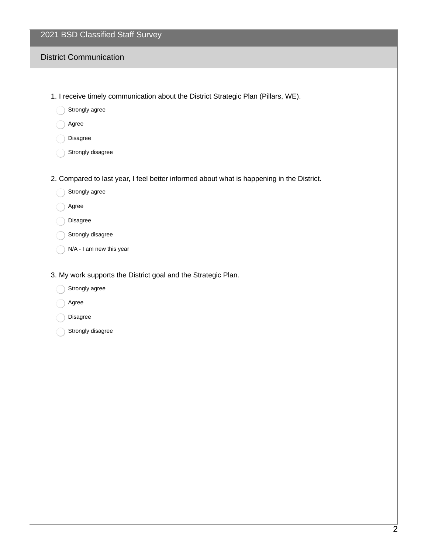|  |  | 2021 BSD Classified Staff Survey |  |
|--|--|----------------------------------|--|
|--|--|----------------------------------|--|

### District Communication

- 1. I receive timely communication about the District Strategic Plan (Pillars, WE).
	- Strongly agree
	- Agree
	- Disagree
	- Strongly disagree
- 2. Compared to last year, I feel better informed about what is happening in the District.
	- Strongly agree
	- Agree
	- Disagree
	- Strongly disagree
	- N/A I am new this year
- 3. My work supports the District goal and the Strategic Plan.
	- Strongly agree
	- Agree
	- Disagree
	- Strongly disagree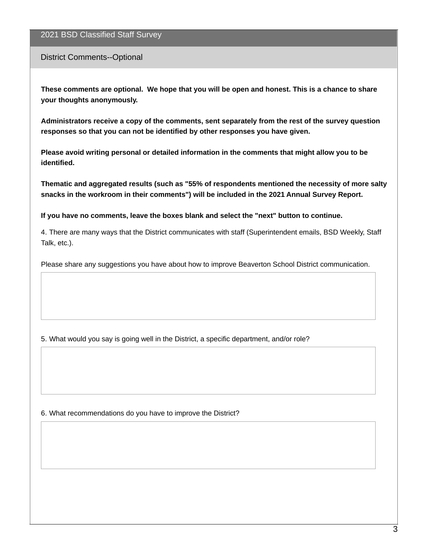#### 2021 BSD Classified Staff Survey

#### District Comments--Optional

These comments are optional. We hope that you will be open and honest. This is a chance to share **your thoughts anonymously.**

**Administrators receive a copy of the comments, sent separately from the rest of the survey question responses so that you can not be identified by other responses you have given.**

**Please avoid writing personal or detailed information in the comments that might allow you to be identified.**

**Thematic and aggregated results (such as "55% of respondents mentioned the necessity of more salty snacks in the workroom in their comments") will be included in the 2021 Annual Survey Report.**

**If you have no comments, leave the boxes blank and select the "next" button to continue.**

4. There are many ways that the District communicates with staff (Superintendent emails, BSD Weekly, Staff Talk, etc.).

Please share any suggestions you have about how to improve Beaverton School District communication.

5. What would you say is going well in the District, a specific department, and/or role?

#### 6. What recommendations do you have to improve the District?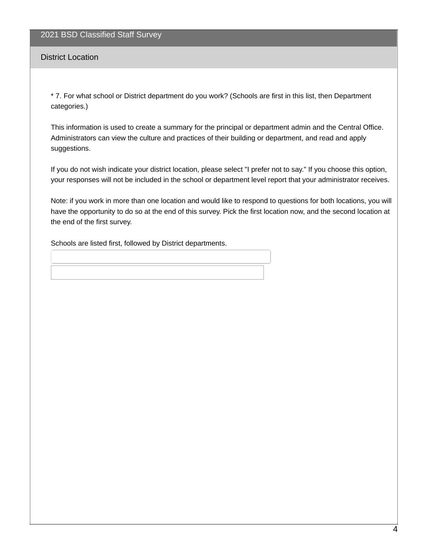#### District Location

\* 7. For what school or District department do you work? (Schools are first in this list, then Department categories.)

This information is used to create a summary for the principal or department admin and the Central Office. Administrators can view the culture and practices of their building or department, and read and apply suggestions.

If you do not wish indicate your district location, please select "I prefer not to say." If you choose this option, your responses will not be included in the school or department level report that your administrator receives.

Note: if you work in more than one location and would like to respond to questions for both locations, you will have the opportunity to do so at the end of this survey. Pick the first location now, and the second location at the end of the first survey.

Schools are listed first, followed by District departments.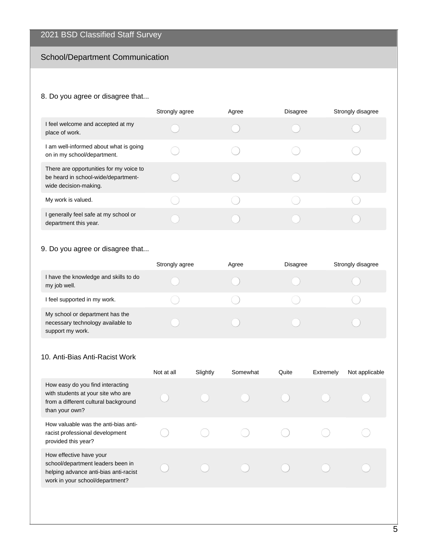# School/Department Communication

## 8. Do you agree or disagree that...

|                                                                                                         | Strongly agree | Agree | <b>Disagree</b> | Strongly disagree |
|---------------------------------------------------------------------------------------------------------|----------------|-------|-----------------|-------------------|
| I feel welcome and accepted at my<br>place of work.                                                     |                |       |                 |                   |
| I am well-informed about what is going<br>on in my school/department.                                   |                |       |                 |                   |
| There are opportunities for my voice to<br>be heard in school-wide/department-<br>wide decision-making. |                |       |                 |                   |
| My work is valued.                                                                                      |                |       |                 |                   |
| I generally feel safe at my school or<br>department this year.                                          |                |       |                 |                   |

## 9. Do you agree or disagree that...

|                                                                                          | Strongly agree | Agree | <b>Disagree</b> | Strongly disagree |
|------------------------------------------------------------------------------------------|----------------|-------|-----------------|-------------------|
| I have the knowledge and skills to do<br>my job well.                                    |                |       |                 |                   |
| I feel supported in my work.                                                             |                |       |                 |                   |
| My school or department has the<br>necessary technology available to<br>support my work. |                |       |                 |                   |

### 10. Anti-Bias Anti-Racist Work

|                                                                                                                                          | Not at all | Slightly | Somewhat | Quite | Extremely | Not applicable |
|------------------------------------------------------------------------------------------------------------------------------------------|------------|----------|----------|-------|-----------|----------------|
| How easy do you find interacting<br>with students at your site who are<br>from a different cultural background<br>than your own?         |            |          |          |       |           |                |
| How valuable was the anti-bias anti-<br>racist professional development<br>provided this year?                                           |            |          |          |       |           |                |
| How effective have your<br>school/department leaders been in<br>helping advance anti-bias anti-racist<br>work in your school/department? |            |          |          |       |           |                |
|                                                                                                                                          |            |          |          |       |           |                |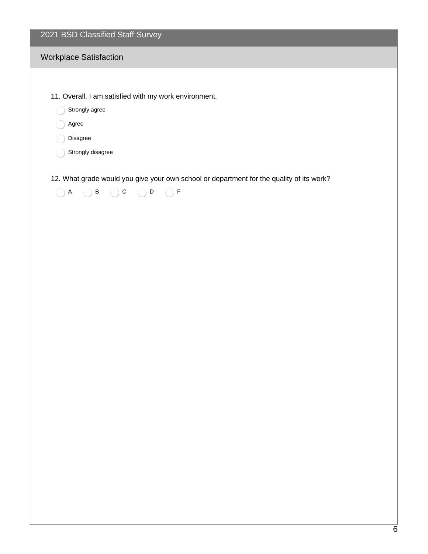|  |  | 2021 BSD Classified Staff Survey |
|--|--|----------------------------------|
|--|--|----------------------------------|

## Workplace Satisfaction

- 11. Overall, I am satisfied with my work environment.
	- Strongly agree
	- Agree
	- Disagree
	- Strongly disagree

12. What grade would you give your own school or department for the quality of its work?

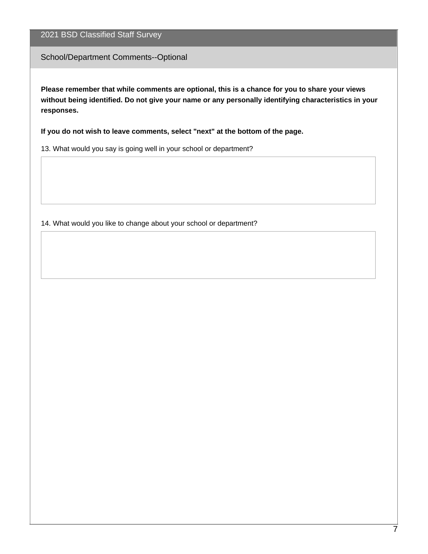School/Department Comments--Optional

**Please remember that while comments are optional, this is a chance for you to share your views without being identified. Do not give your name or any personally identifying characteristics in your responses.**

**If you do not wish to leave comments, select "next" at the bottom of the page.**

13. What would you say is going well in your school or department?

14. What would you like to change about your school or department?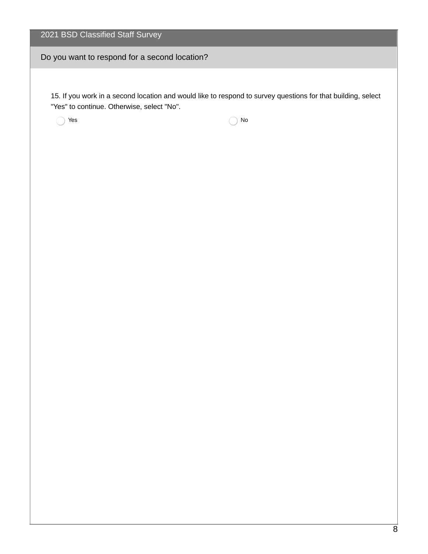Do you want to respond for a second location?

15. If you work in a second location and would like to respond to survey questions for that building, select "Yes" to continue. Otherwise, select "No".

 $\bigcap$  Yes  $\bigcap$  No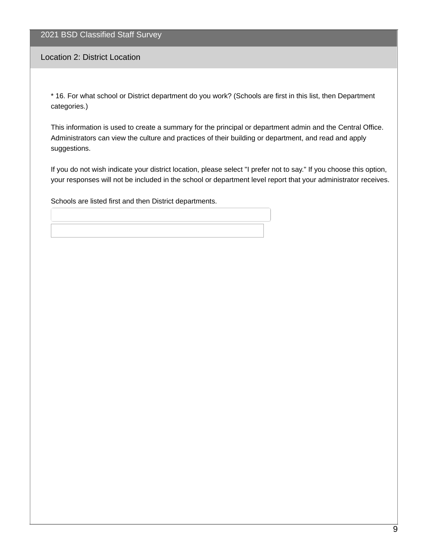Location 2: District Location

\* 16. For what school or District department do you work? (Schools are first in this list, then Department categories.)

This information is used to create a summary for the principal or department admin and the Central Office. Administrators can view the culture and practices of their building or department, and read and apply suggestions.

If you do not wish indicate your district location, please select "I prefer not to say." If you choose this option, your responses will not be included in the school or department level report that your administrator receives.

Schools are listed first and then District departments.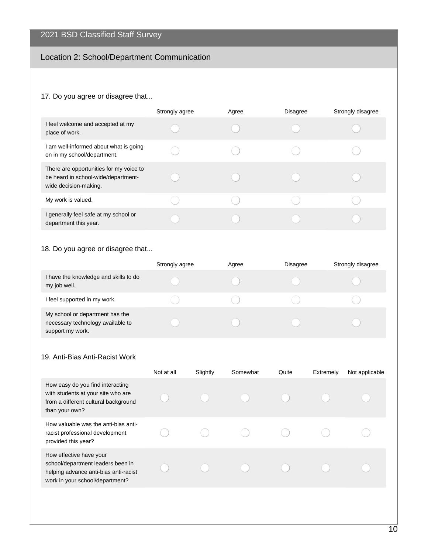# Location 2: School/Department Communication

### 17. Do you agree or disagree that...

|                                                                                                         | Strongly agree | Agree | <b>Disagree</b> | Strongly disagree |
|---------------------------------------------------------------------------------------------------------|----------------|-------|-----------------|-------------------|
| I feel welcome and accepted at my<br>place of work.                                                     |                |       |                 |                   |
| I am well-informed about what is going<br>on in my school/department.                                   |                |       |                 |                   |
| There are opportunities for my voice to<br>be heard in school-wide/department-<br>wide decision-making. |                |       |                 |                   |
| My work is valued.                                                                                      |                |       |                 |                   |
| I generally feel safe at my school or<br>department this year.                                          |                |       |                 |                   |

## 18. Do you agree or disagree that...

|                                                                                          | Strongly agree | Agree | <b>Disagree</b> | Strongly disagree |
|------------------------------------------------------------------------------------------|----------------|-------|-----------------|-------------------|
| I have the knowledge and skills to do<br>my job well.                                    |                |       |                 |                   |
| I feel supported in my work.                                                             |                |       |                 |                   |
| My school or department has the<br>necessary technology available to<br>support my work. |                |       |                 |                   |

#### 19. Anti-Bias Anti-Racist Work

|                                                                                                                                          | Not at all | Slightly | Somewhat | Quite | Extremely | Not applicable |
|------------------------------------------------------------------------------------------------------------------------------------------|------------|----------|----------|-------|-----------|----------------|
| How easy do you find interacting<br>with students at your site who are<br>from a different cultural background<br>than your own?         |            |          |          |       |           |                |
| How valuable was the anti-bias anti-<br>racist professional development<br>provided this year?                                           |            |          |          |       |           |                |
| How effective have your<br>school/department leaders been in<br>helping advance anti-bias anti-racist<br>work in your school/department? |            |          |          |       |           |                |
|                                                                                                                                          |            |          |          |       |           |                |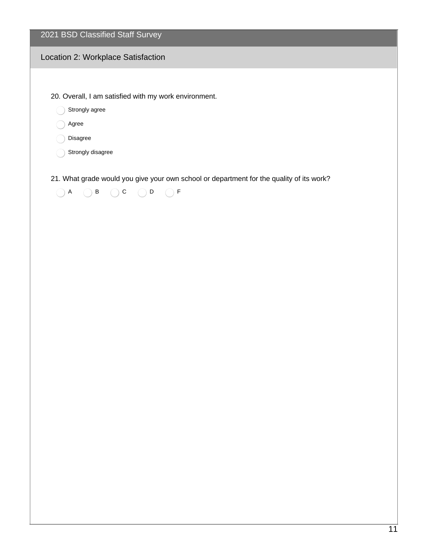2021 BSD Classified Staff Survey

### Location 2: Workplace Satisfaction

20. Overall, I am satisfied with my work environment.

Strongly agree

Agree

Disagree

Strongly disagree

21. What grade would you give your own school or department for the quality of its work?

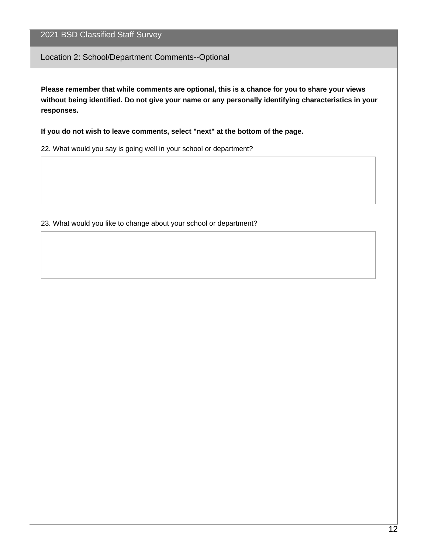Location 2: School/Department Comments--Optional

**Please remember that while comments are optional, this is a chance for you to share your views without being identified. Do not give your name or any personally identifying characteristics in your responses.**

**If you do not wish to leave comments, select "next" at the bottom of the page.**

22. What would you say is going well in your school or department?

23. What would you like to change about your school or department?